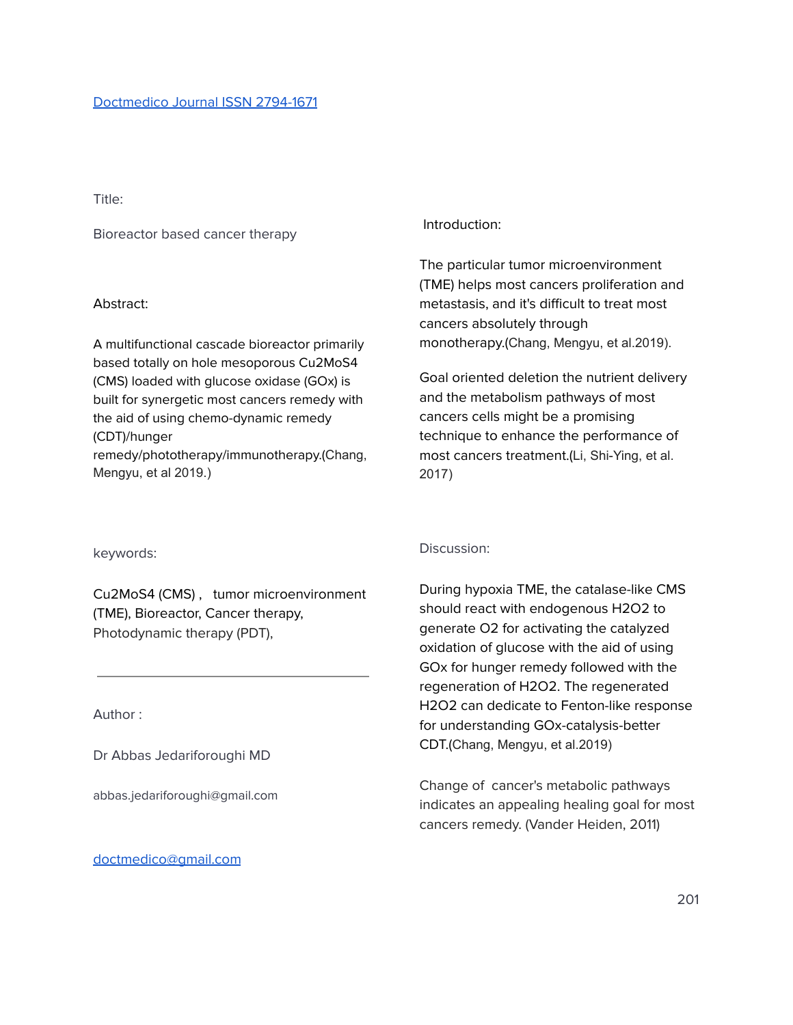Title:

Bioreactor based cancer therapy

### Abstract:

A multifunctional cascade bioreactor primarily based totally on hole mesoporous Cu2MoS4 (CMS) loaded with glucose oxidase (GOx) is built for synergetic most cancers remedy with the aid of using chemo-dynamic remedy (CDT)/hunger remedy/phototherapy/immunotherapy.(Chang, Mengyu, et al 2019.)

## Introduction:

The particular tumor microenvironment (TME) helps most cancers proliferation and metastasis, and it's difficult to treat most cancers absolutely through monotherapy.(Chang, Mengyu, et al.2019).

Goal oriented deletion the nutrient delivery and the metabolism pathways of most cancers cells might be a promising technique to enhance the performance of most cancers treatment.(Li, Shi-Ying, et al. 2017)

keywords:

Cu2MoS4 (CMS) , tumor microenvironment (TME), Bioreactor, Cancer therapy, Photodynamic therapy (PDT),

Author :

Dr Abbas Jedariforoughi MD

abbas.jedariforoughi@gmail.com

[doctmedico@gmail.com](mailto:doctmedico@gmail.com)

# Discussion:

During hypoxia TME, the catalase-like CMS should react with endogenous H2O2 to generate O2 for activating the catalyzed oxidation of glucose with the aid of using GOx for hunger remedy followed with the regeneration of H2O2. The regenerated H2O2 can dedicate to Fenton-like response for understanding GOx-catalysis-better CDT.(Chang, Mengyu, et al.2019)

Change of cancer's metabolic pathways indicates an appealing healing goal for most cancers remedy. (Vander Heiden, 2011)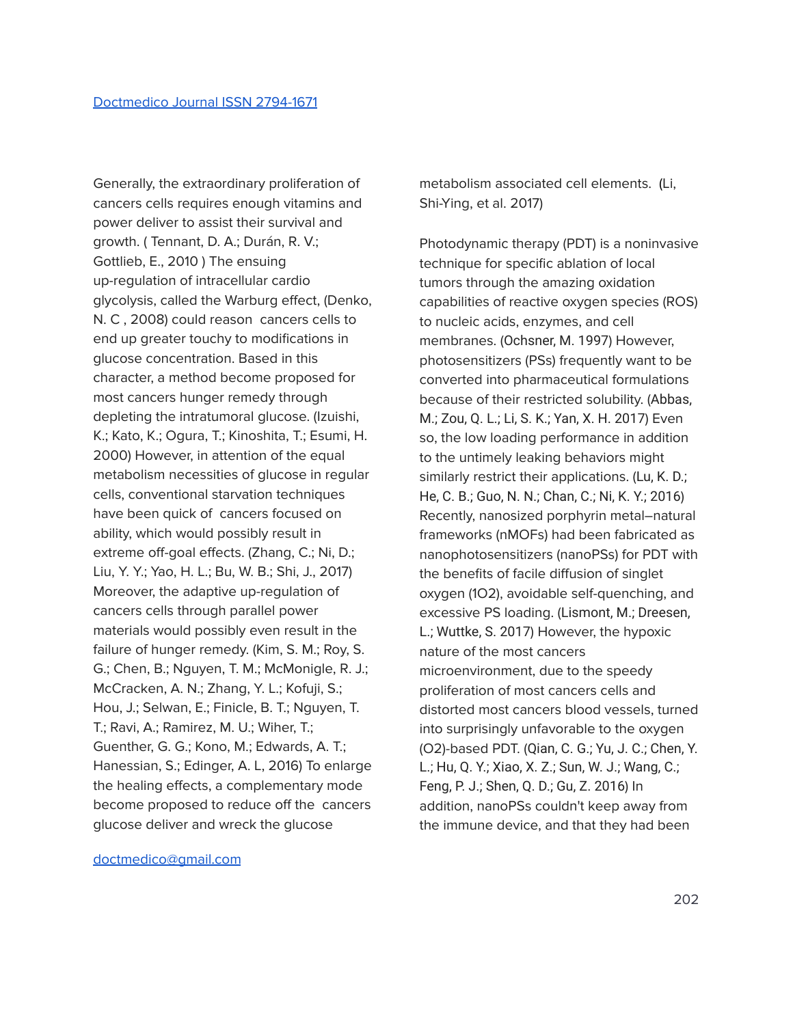Generally, the extraordinary proliferation of cancers cells requires enough vitamins and power deliver to assist their survival and growth. ( Tennant, D. A.; Durán, R. V.; Gottlieb, E., 2010 ) The ensuing up-regulation of intracellular cardio glycolysis, called the Warburg effect, (Denko, N. C , 2008) could reason cancers cells to end up greater touchy to modifications in glucose concentration. Based in this character, a method become proposed for most cancers hunger remedy through depleting the intratumoral glucose. (Izuishi, K.; Kato, K.; Ogura, T.; Kinoshita, T.; Esumi, H. 2000) However, in attention of the equal metabolism necessities of glucose in regular cells, conventional starvation techniques have been quick of cancers focused on ability, which would possibly result in extreme off-goal effects. (Zhang, C.; Ni, D.; Liu, Y. Y.; Yao, H. L.; Bu, W. B.; Shi, J., 2017) Moreover, the adaptive up-regulation of cancers cells through parallel power materials would possibly even result in the failure of hunger remedy. (Kim, S. M.; Roy, S. G.; Chen, B.; Nguyen, T. M.; McMonigle, R. J.; McCracken, A. N.; Zhang, Y. L.; Kofuji, S.; Hou, J.; Selwan, E.; Finicle, B. T.; Nguyen, T. T.; Ravi, A.; Ramirez, M. U.; Wiher, T.; Guenther, G. G.; Kono, M.; Edwards, A. T.; Hanessian, S.; Edinger, A. L, 2016) To enlarge the healing effects, a complementary mode become proposed to reduce off the cancers glucose deliver and wreck the glucose

[doctmedico@gmail.com](mailto:doctmedico@gmail.com)

metabolism associated cell elements. (Li, Shi-Ying, et al. 2017)

Photodynamic therapy (PDT) is a noninvasive technique for specific ablation of local tumors through the amazing oxidation capabilities of reactive oxygen species (ROS) to nucleic acids, enzymes, and cell membranes. (Ochsner, M. 1997) However, photosensitizers (PSs) frequently want to be converted into pharmaceutical formulations because of their restricted solubility. (Abbas, M.; Zou, Q. L.; Li, S. K.; Yan, X. H. 2017) Even so, the low loading performance in addition to the untimely leaking behaviors might similarly restrict their applications. (Lu, K. D.; He, C. B.; Guo, N. N.; Chan, C.; Ni, K. Y.; 2016) Recently, nanosized porphyrin metal–natural frameworks (nMOFs) had been fabricated as nanophotosensitizers (nanoPSs) for PDT with the benefits of facile diffusion of singlet oxygen (1O2), avoidable self-quenching, and excessive PS loading. (Lismont, M.; Dreesen, L.; Wuttke, S. 2017) However, the hypoxic nature of the most cancers microenvironment, due to the speedy proliferation of most cancers cells and distorted most cancers blood vessels, turned into surprisingly unfavorable to the oxygen (O2)-based PDT. (Qian, C. G.; Yu, J. C.; Chen, Y. L.; Hu, Q. Y.; Xiao, X. Z.; Sun, W. J.; Wang, C.; Feng, P. J.; Shen, Q. D.; Gu, Z. 2016) In addition, nanoPSs couldn't keep away from the immune device, and that they had been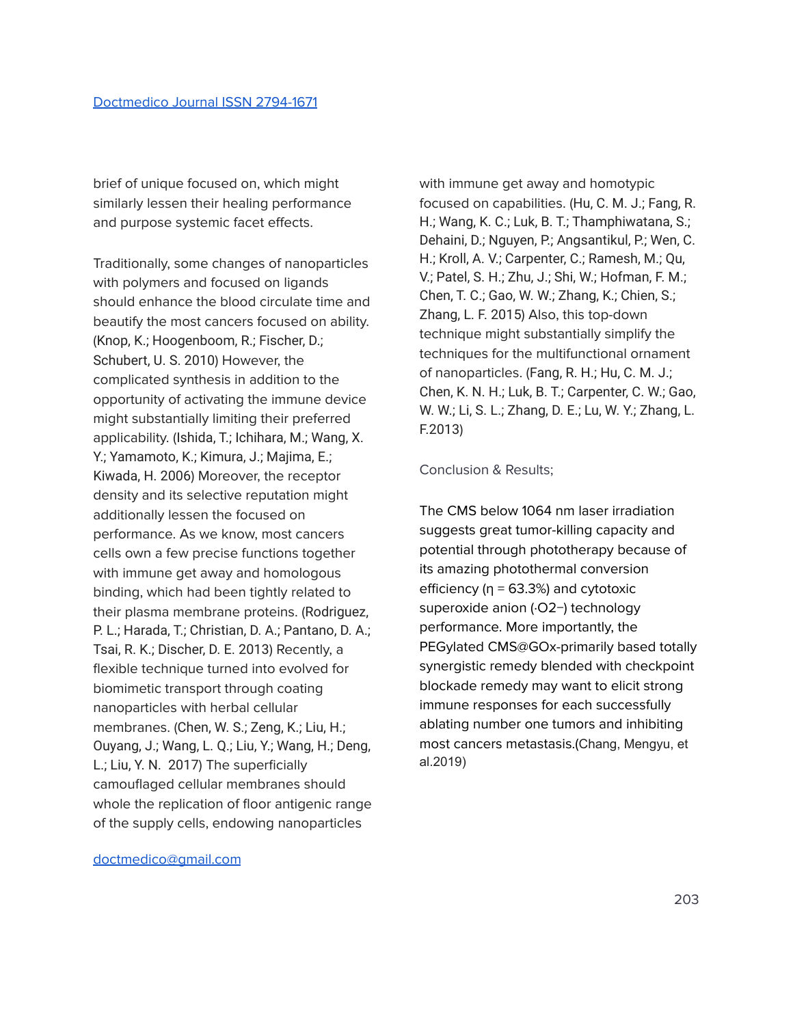brief of unique focused on, which might similarly lessen their healing performance and purpose systemic facet effects.

Traditionally, some changes of nanoparticles with polymers and focused on ligands should enhance the blood circulate time and beautify the most cancers focused on ability. (Knop, K.; Hoogenboom, R.; Fischer, D.; Schubert, U. S. 2010) However, the complicated synthesis in addition to the opportunity of activating the immune device might substantially limiting their preferred applicability. (Ishida, T.; Ichihara, M.; Wang, X. Y.; Yamamoto, K.; Kimura, J.; Majima, E.; Kiwada, H. 2006) Moreover, the receptor density and its selective reputation might additionally lessen the focused on performance. As we know, most cancers cells own a few precise functions together with immune get away and homologous binding, which had been tightly related to their plasma membrane proteins. (Rodriguez, P. L.; Harada, T.; Christian, D. A.; Pantano, D. A.; Tsai, R. K.; Discher, D. E. 2013) Recently, a flexible technique turned into evolved for biomimetic transport through coating nanoparticles with herbal cellular membranes. (Chen, W. S.; Zeng, K.; Liu, H.; Ouyang, J.; Wang, L. Q.; Liu, Y.; Wang, H.; Deng, L.; Liu, Y. N. 2017) The superficially camouflaged cellular membranes should whole the replication of floor antigenic range of the supply cells, endowing nanoparticles

with immune get away and homotypic focused on capabilities. (Hu, C. M. J.; Fang, R. H.; Wang, K. C.; Luk, B. T.; Thamphiwatana, S.; Dehaini, D.; Nguyen, P.; Angsantikul, P.; Wen, C. H.; Kroll, A. V.; Carpenter, C.; Ramesh, M.; Qu, V.; Patel, S. H.; Zhu, J.; Shi, W.; Hofman, F. M.; Chen, T. C.; Gao, W. W.; Zhang, K.; Chien, S.; Zhang, L. F. 2015) Also, this top-down technique might substantially simplify the techniques for the multifunctional ornament of nanoparticles. (Fang, R. H.; Hu, C. M. J.; Chen, K. N. H.; Luk, B. T.; Carpenter, C. W.; Gao, W. W.; Li, S. L.; Zhang, D. E.; Lu, W. Y.; Zhang, L. F.2013)

#### Conclusion & Results;

The CMS below 1064 nm laser irradiation suggests great tumor-killing capacity and potential through phototherapy because of its amazing photothermal conversion efficiency ( $\eta$  = 63.3%) and cytotoxic superoxide anion (·O2−) technology performance. More importantly, the PEGylated CMS@GOx-primarily based totally synergistic remedy blended with checkpoint blockade remedy may want to elicit strong immune responses for each successfully ablating number one tumors and inhibiting most cancers metastasis.(Chang, Mengyu, et al.2019)

[doctmedico@gmail.com](mailto:doctmedico@gmail.com)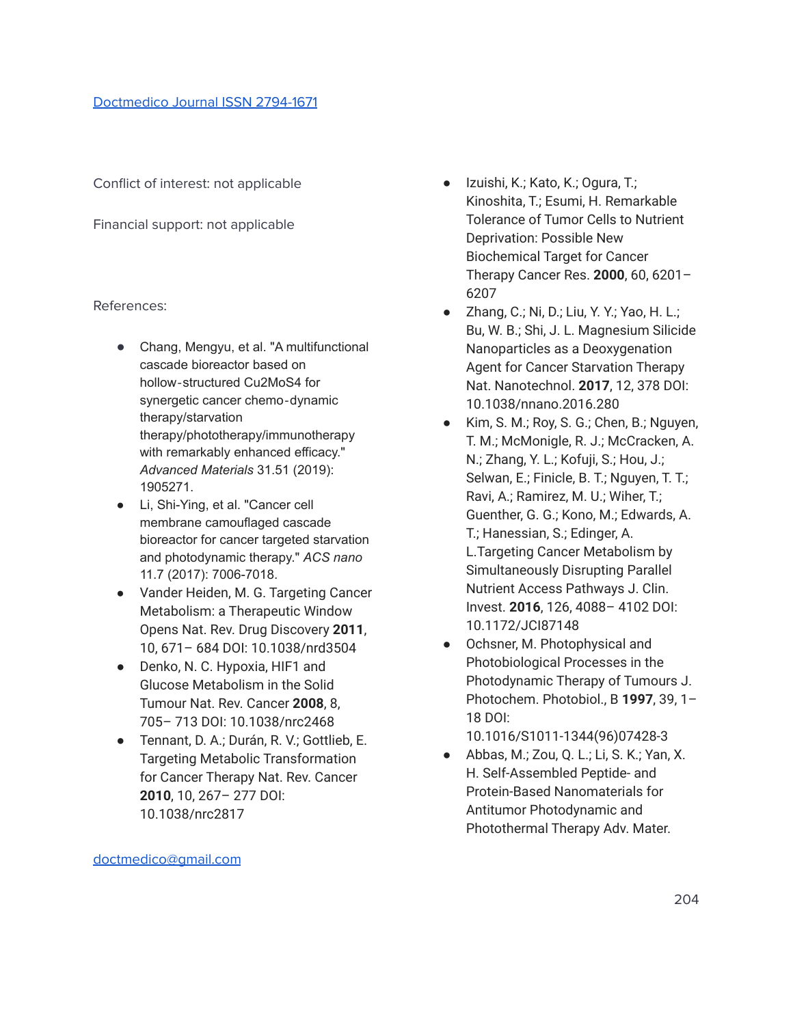Conflict of interest: not applicable

Financial support: not applicable

# References:

- Chang, Mengyu, et al. "A multifunctional cascade bioreactor based on hollow‐structured Cu2MoS4 for synergetic cancer chemo‐dynamic therapy/starvation therapy/phototherapy/immunotherapy with remarkably enhanced efficacy." *Advanced Materials* 31.51 (2019): 1905271.
- Li, Shi-Ying, et al. "Cancer cell membrane camouflaged cascade bioreactor for cancer targeted starvation and photodynamic therapy." *ACS nano* 11.7 (2017): 7006-7018.
- Vander Heiden, M. G. Targeting Cancer Metabolism: a Therapeutic Window Opens Nat. Rev. Drug Discovery **2011**, 10, 671– 684 DOI: 10.1038/nrd3504
- Denko, N. C. Hypoxia, HIF1 and Glucose Metabolism in the Solid Tumour Nat. Rev. Cancer **2008**, 8, 705– 713 DOI: 10.1038/nrc2468
- Tennant, D. A.; Durán, R. V.; Gottlieb, E. Targeting Metabolic Transformation for Cancer Therapy Nat. Rev. Cancer **2010**, 10, 267– 277 DOI: 10.1038/nrc2817
- Izuishi, K.; Kato, K.; Ogura, T.; Kinoshita, T.; Esumi, H. Remarkable Tolerance of Tumor Cells to Nutrient Deprivation: Possible New Biochemical Target for Cancer Therapy Cancer Res. **2000**, 60, 6201– 6207
- Zhang, C.; Ni, D.; Liu, Y. Y.; Yao, H. L.; Bu, W. B.; Shi, J. L. Magnesium Silicide Nanoparticles as a Deoxygenation Agent for Cancer Starvation Therapy Nat. Nanotechnol. **2017**, 12, 378 DOI: 10.1038/nnano.2016.280
- Kim, S. M.; Roy, S. G.; Chen, B.; Nguyen, T. M.; McMonigle, R. J.; McCracken, A. N.; Zhang, Y. L.; Kofuji, S.; Hou, J.; Selwan, E.; Finicle, B. T.; Nguyen, T. T.; Ravi, A.; Ramirez, M. U.; Wiher, T.; Guenther, G. G.; Kono, M.; Edwards, A. T.; Hanessian, S.; Edinger, A. L.Targeting Cancer Metabolism by Simultaneously Disrupting Parallel Nutrient Access Pathways J. Clin. Invest. **2016**, 126, 4088– 4102 DOI: 10.1172/JCI87148
- Ochsner, M. Photophysical and Photobiological Processes in the Photodynamic Therapy of Tumours J. Photochem. Photobiol., B **1997**, 39, 1– 18 DOI:

10.1016/S1011-1344(96)07428-3

● Abbas, M.; Zou, Q. L.; Li, S. K.; Yan, X. H. Self-Assembled Peptide- and Protein-Based Nanomaterials for Antitumor Photodynamic and Photothermal Therapy Adv. Mater.

[doctmedico@gmail.com](mailto:doctmedico@gmail.com)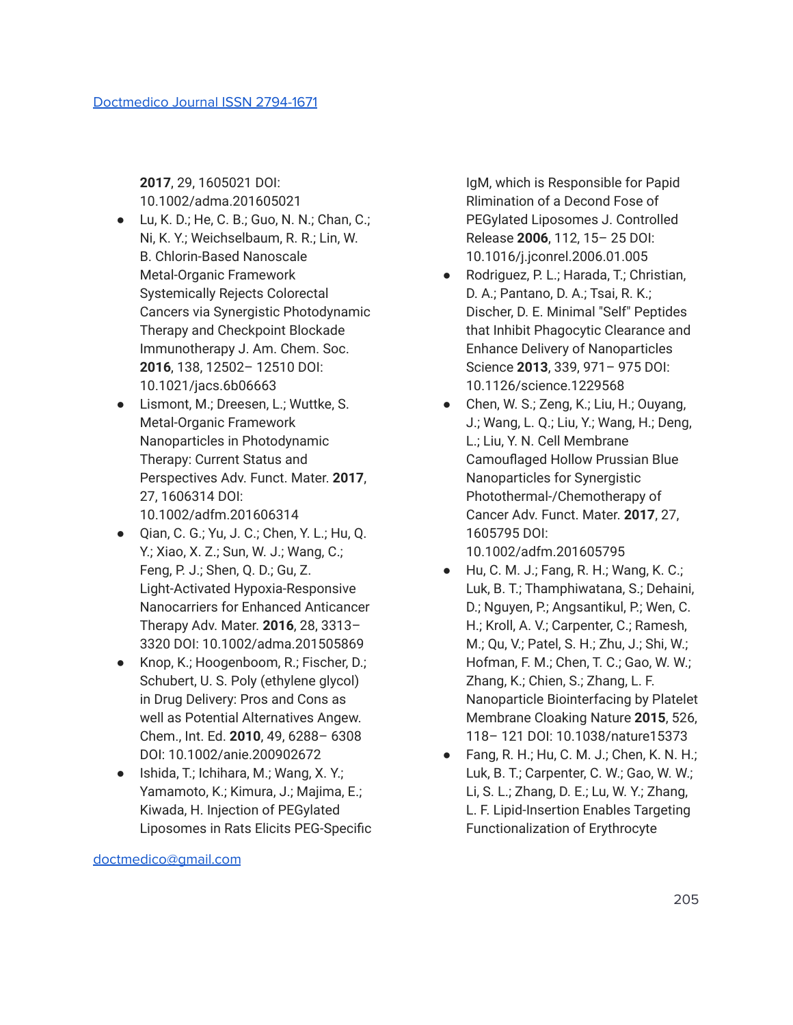**2017**, 29, 1605021 DOI: 10.1002/adma.201605021

- Lu, K. D.; He, C. B.; Guo, N. N.; Chan, C.; Ni, K. Y.; Weichselbaum, R. R.; Lin, W. B. Chlorin-Based Nanoscale Metal-Organic Framework Systemically Rejects Colorectal Cancers via Synergistic Photodynamic Therapy and Checkpoint Blockade Immunotherapy J. Am. Chem. Soc. **2016**, 138, 12502– 12510 DOI: 10.1021/jacs.6b06663
- Lismont, M.; Dreesen, L.; Wuttke, S. Metal-Organic Framework Nanoparticles in Photodynamic Therapy: Current Status and Perspectives Adv. Funct. Mater. **2017**, 27, 1606314 DOI: 10.1002/adfm.201606314
- Qian, C. G.; Yu, J. C.; Chen, Y. L.; Hu, Q. Y.; Xiao, X. Z.; Sun, W. J.; Wang, C.; Feng, P. J.; Shen, Q. D.; Gu, Z. Light-Activated Hypoxia-Responsive Nanocarriers for Enhanced Anticancer Therapy Adv. Mater. **2016**, 28, 3313– 3320 DOI: 10.1002/adma.201505869
- Knop, K.; Hoogenboom, R.; Fischer, D.; Schubert, U. S. Poly (ethylene glycol) in Drug Delivery: Pros and Cons as well as Potential Alternatives Angew. Chem., Int. Ed. **2010**, 49, 6288– 6308 DOI: 10.1002/anie.200902672
- Ishida, T.; Ichihara, M.; Wang, X. Y.; Yamamoto, K.; Kimura, J.; Majima, E.; Kiwada, H. Injection of PEGylated Liposomes in Rats Elicits PEG-Specific

[doctmedico@gmail.com](mailto:doctmedico@gmail.com)

IgM, which is Responsible for Papid Rlimination of a Decond Fose of PEGylated Liposomes J. Controlled Release **2006**, 112, 15– 25 DOI: 10.1016/j.jconrel.2006.01.005

- Rodriguez, P. L.; Harada, T.; Christian, D. A.; Pantano, D. A.; Tsai, R. K.; Discher, D. E. Minimal ″Self″ Peptides that Inhibit Phagocytic Clearance and Enhance Delivery of Nanoparticles Science **2013**, 339, 971– 975 DOI: 10.1126/science.1229568
- Chen, W. S.; Zeng, K.; Liu, H.; Ouyang, J.; Wang, L. Q.; Liu, Y.; Wang, H.; Deng, L.; Liu, Y. N. Cell Membrane Camouflaged Hollow Prussian Blue Nanoparticles for Synergistic Photothermal-/Chemotherapy of Cancer Adv. Funct. Mater. **2017**, 27, 1605795 DOI: 10.1002/adfm.201605795
- $\bullet$  Hu, C. M. J.; Fang, R. H.; Wang, K. C.; Luk, B. T.; Thamphiwatana, S.; Dehaini, D.; Nguyen, P.; Angsantikul, P.; Wen, C. H.; Kroll, A. V.; Carpenter, C.; Ramesh, M.; Qu, V.; Patel, S. H.; Zhu, J.; Shi, W.; Hofman, F. M.; Chen, T. C.; Gao, W. W.; Zhang, K.; Chien, S.; Zhang, L. F. Nanoparticle Biointerfacing by Platelet Membrane Cloaking Nature **2015**, 526, 118– 121 DOI: 10.1038/nature15373
- Fang, R. H.; Hu, C. M. J.; Chen, K. N. H.; Luk, B. T.; Carpenter, C. W.; Gao, W. W.; Li, S. L.; Zhang, D. E.; Lu, W. Y.; Zhang, L. F. Lipid-Insertion Enables Targeting Functionalization of Erythrocyte